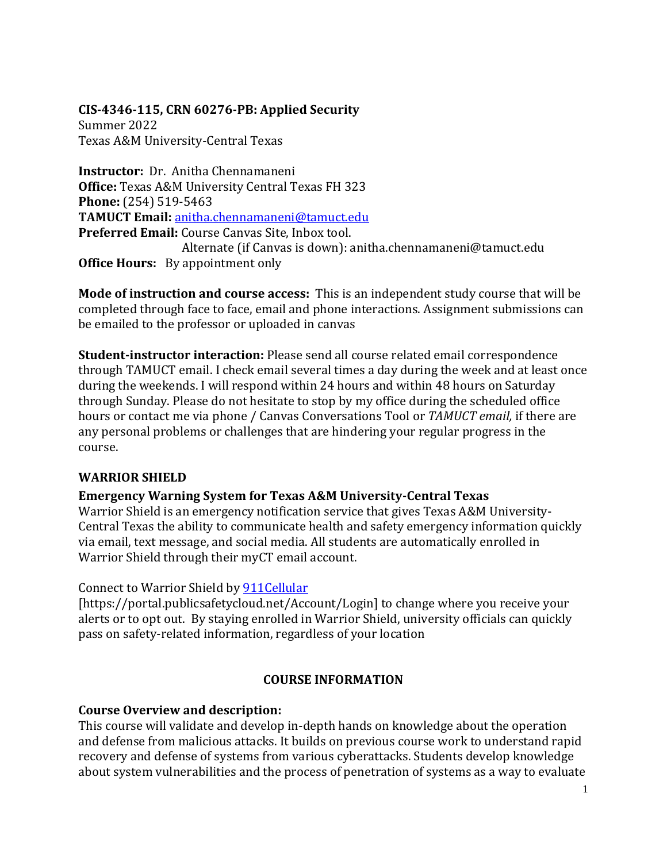# **CIS-4346-115, CRN 60276-PB: Applied Security**

Summer 2022 Texas A&M University-Central Texas

**Instructor:** Dr. Anitha Chennamaneni **Office:** Texas A&M University Central Texas FH 323 **Phone:** (254) 519-5463 **TAMUCT Email:** [anitha.chennamaneni@tamuct.edu](mailto:anitha.chennamaneni@tamuct.edu) **Preferred Email:** Course Canvas Site, Inbox tool. Alternate (if Canvas is down): anitha.chennamaneni@tamuct.edu **Office Hours:** By appointment only

**Mode of instruction and course access:** This is an independent study course that will be completed through face to face, email and phone interactions. Assignment submissions can be emailed to the professor or uploaded in canvas

**Student-instructor interaction:** Please send all course related email correspondence through TAMUCT email. I check email several times a day during the week and at least once during the weekends. I will respond within 24 hours and within 48 hours on Saturday through Sunday. Please do not hesitate to stop by my office during the scheduled office hours or contact me via phone / Canvas Conversations Tool or *TAMUCT email,* if there are any personal problems or challenges that are hindering your regular progress in the course.

### **WARRIOR SHIELD**

### **Emergency Warning System for Texas A&M University-Central Texas**

Warrior Shield is an emergency notification service that gives Texas A&M University-Central Texas the ability to communicate health and safety emergency information quickly via email, text message, and social media. All students are automatically enrolled in Warrior Shield through their myCT email account.

### Connect to Warrior Shield by [911Cellular](https://portal.publicsafetycloud.net/Texas-AM-Central/alert-management)

[https://portal.publicsafetycloud.net/Account/Login] to change where you receive your alerts or to opt out. By staying enrolled in Warrior Shield, university officials can quickly pass on safety-related information, regardless of your location

### **COURSE INFORMATION**

### **Course Overview and description:**

This course will validate and develop in-depth hands on knowledge about the operation and defense from malicious attacks. It builds on previous course work to understand rapid recovery and defense of systems from various cyberattacks. Students develop knowledge about system vulnerabilities and the process of penetration of systems as a way to evaluate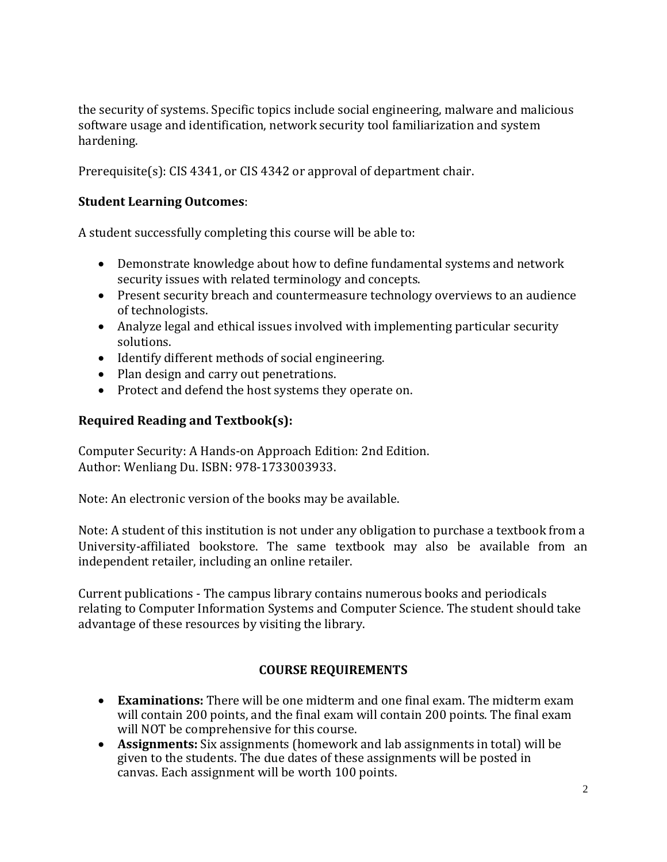the security of systems. Specific topics include social engineering, malware and malicious software usage and identification, network security tool familiarization and system hardening.

Prerequisite(s): CIS 4341, or CIS 4342 or approval of department chair.

### **Student Learning Outcomes**:

A student successfully completing this course will be able to:

- Demonstrate knowledge about how to define fundamental systems and network security issues with related terminology and concepts.
- Present security breach and countermeasure technology overviews to an audience of technologists.
- Analyze legal and ethical issues involved with implementing particular security solutions.
- Identify different methods of social engineering.
- Plan design and carry out penetrations.
- Protect and defend the host systems they operate on.

### **Required Reading and Textbook(s):**

Computer Security: A Hands-on Approach Edition: 2nd Edition. Author: Wenliang Du. ISBN: 978-1733003933.

Note: An electronic version of the books may be available.

Note: A student of this institution is not under any obligation to purchase a textbook from a University-affiliated bookstore. The same textbook may also be available from an independent retailer, including an online retailer.

Current publications - The campus library contains numerous books and periodicals relating to Computer Information Systems and Computer Science. The student should take advantage of these resources by visiting the library.

# **COURSE REQUIREMENTS**

- **Examinations:** There will be one midterm and one final exam. The midterm exam will contain 200 points, and the final exam will contain 200 points. The final exam will NOT be comprehensive for this course.
- **Assignments:** Six assignments (homework and lab assignments in total) will be given to the students. The due dates of these assignments will be posted in canvas. Each assignment will be worth 100 points.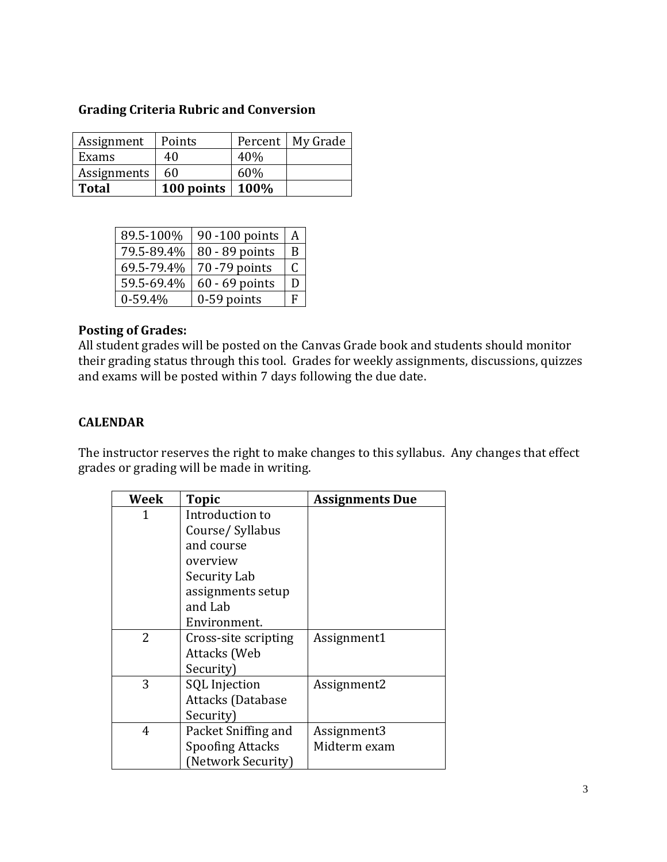## **Grading Criteria Rubric and Conversion**

| Assignment   | Points               |     | Percent   My Grade |
|--------------|----------------------|-----|--------------------|
| Exams        | 40                   | 40% |                    |
| Assignments  | 60                   | 60% |                    |
| <b>Total</b> | 100 points   $100\%$ |     |                    |

| 89.5-100%  | 90 -100 points   | A |
|------------|------------------|---|
| 79.5-89.4% | 80 - 89 points   | B |
| 69.5-79.4% | 70 - 79 points   | C |
| 59.5-69.4% | $60 - 69$ points | Г |
| $0-59.4%$  | $0-59$ points    | F |

#### **Posting of Grades:**

All student grades will be posted on the Canvas Grade book and students should monitor their grading status through this tool. Grades for weekly assignments, discussions, quizzes and exams will be posted within 7 days following the due date.

# **CALENDAR**

The instructor reserves the right to make changes to this syllabus. Any changes that effect grades or grading will be made in writing.

| <b>Week</b> | <b>Topic</b>            | <b>Assignments Due</b> |
|-------------|-------------------------|------------------------|
| 1           | Introduction to         |                        |
|             | Course/Syllabus         |                        |
|             | and course              |                        |
|             | overview                |                        |
|             | Security Lab            |                        |
|             | assignments setup       |                        |
|             | and Lab                 |                        |
|             | Environment.            |                        |
| 2           | Cross-site scripting    | Assignment1            |
|             | Attacks (Web            |                        |
|             | Security)               |                        |
| 3           | <b>SQL</b> Injection    | Assignment2            |
|             | Attacks (Database       |                        |
|             | Security)               |                        |
| 4           | Packet Sniffing and     | Assignment3            |
|             | <b>Spoofing Attacks</b> | Midterm exam           |
|             | (Network Security)      |                        |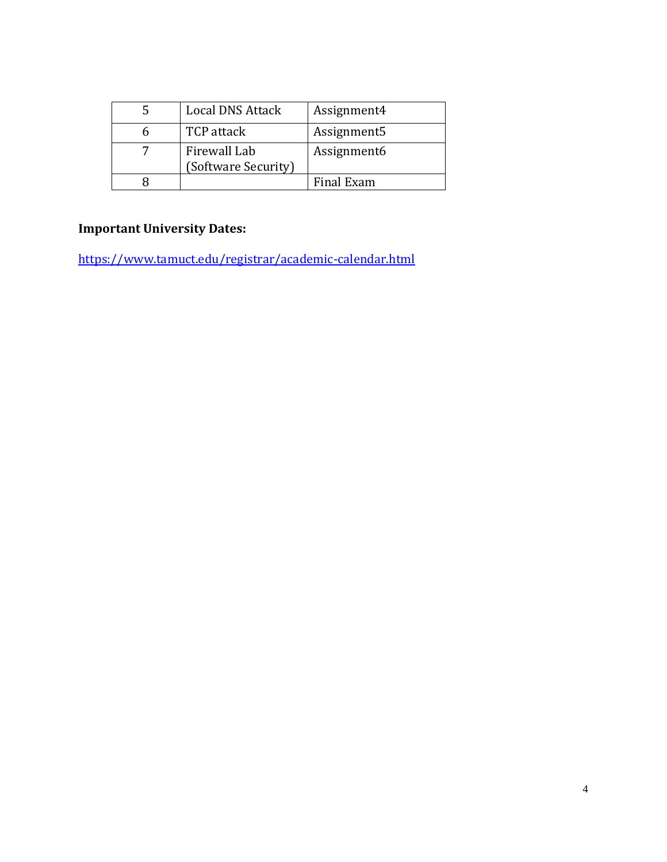| <b>Local DNS Attack</b>             | Assignment4 |
|-------------------------------------|-------------|
| <b>TCP</b> attack                   | Assignment5 |
| Firewall Lab<br>(Software Security) | Assignment6 |
|                                     | Final Exam  |

# **Important University Dates:**

<https://www.tamuct.edu/registrar/academic-calendar.html>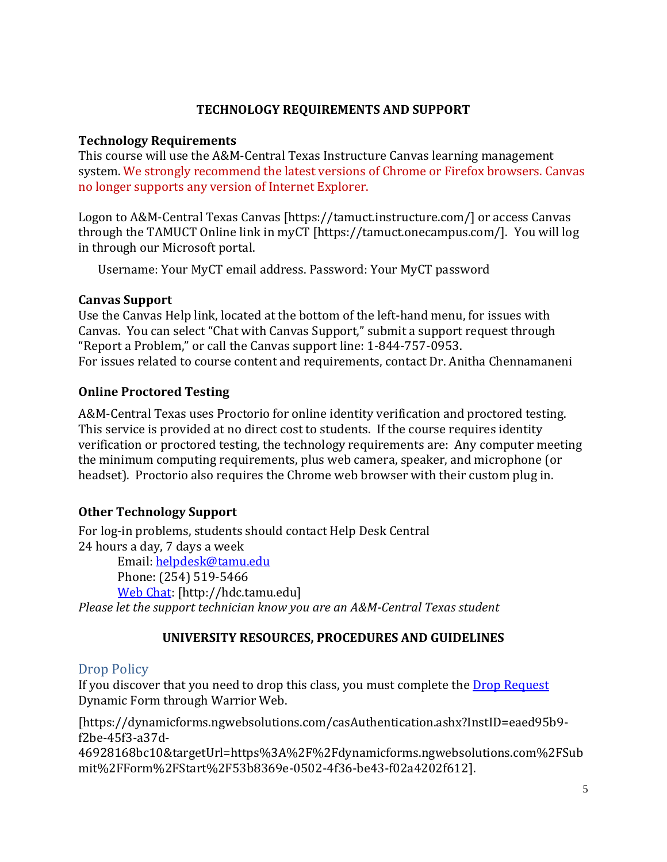### **TECHNOLOGY REQUIREMENTS AND SUPPORT**

#### **Technology Requirements**

This course will use the A&M-Central Texas Instructure Canvas learning management system. We strongly recommend the latest versions of Chrome or Firefox browsers. Canvas no longer supports any version of Internet Explorer.

Logon to A&M-Central Texas Canvas [https://tamuct.instructure.com/] or access Canvas through the TAMUCT Online link in myCT [https://tamuct.onecampus.com/]. You will log in through our Microsoft portal.

Username: Your MyCT email address. Password: Your MyCT password

#### **Canvas Support**

Use the Canvas Help link, located at the bottom of the left-hand menu, for issues with Canvas. You can select "Chat with Canvas Support," submit a support request through "Report a Problem," or call the Canvas support line: 1-844-757-0953. For issues related to course content and requirements, contact Dr. Anitha Chennamaneni

### **Online Proctored Testing**

A&M-Central Texas uses Proctorio for online identity verification and proctored testing. This service is provided at no direct cost to students. If the course requires identity verification or proctored testing, the technology requirements are: Any computer meeting the minimum computing requirements, plus web camera, speaker, and microphone (or headset). Proctorio also requires the Chrome web browser with their custom plug in.

### **Other Technology Support**

For log-in problems, students should contact Help Desk Central 24 hours a day, 7 days a week Email: [helpdesk@tamu.edu](mailto:helpdesk@tamu.edu) Phone: (254) 519-5466 [Web Chat:](http://hdc.tamu.edu/) [http://hdc.tamu.edu]

*Please let the support technician know you are an A&M-Central Texas student*

# **UNIVERSITY RESOURCES, PROCEDURES AND GUIDELINES**

# Drop Policy

If you discover that you need to drop this class, you must complete the **Drop Request** Dynamic Form through Warrior Web.

[https://dynamicforms.ngwebsolutions.com/casAuthentication.ashx?InstID=eaed95b9 f2be-45f3-a37d-

46928168bc10&targetUrl=https%3A%2F%2Fdynamicforms.ngwebsolutions.com%2FSub mit%2FForm%2FStart%2F53b8369e-0502-4f36-be43-f02a4202f612].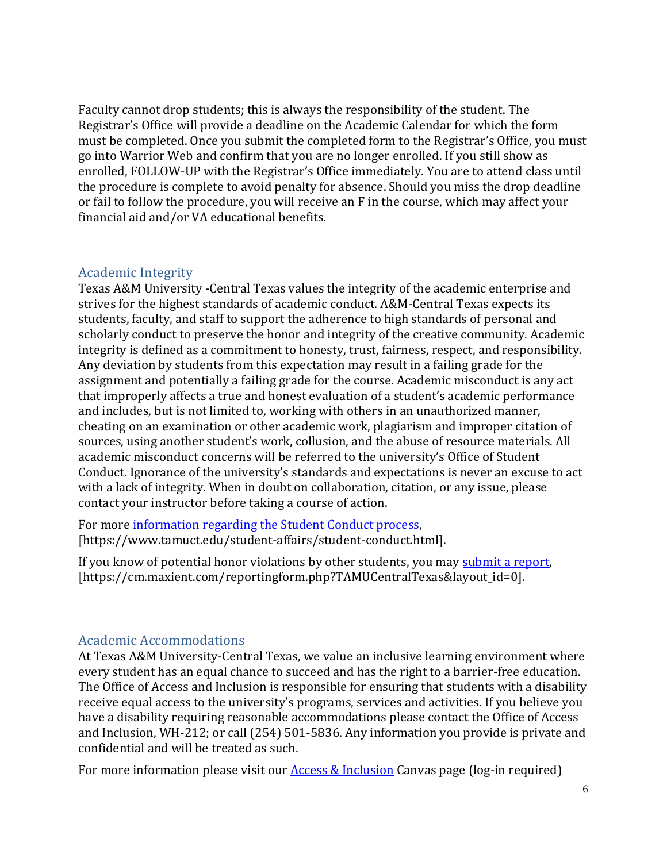Faculty cannot drop students; this is always the responsibility of the student. The Registrar's Office will provide a deadline on the Academic Calendar for which the form must be completed. Once you submit the completed form to the Registrar's Office, you must go into Warrior Web and confirm that you are no longer enrolled. If you still show as enrolled, FOLLOW-UP with the Registrar's Office immediately. You are to attend class until the procedure is complete to avoid penalty for absence. Should you miss the drop deadline or fail to follow the procedure, you will receive an F in the course, which may affect your financial aid and/or VA educational benefits.

### Academic Integrity

Texas A&M University -Central Texas values the integrity of the academic enterprise and strives for the highest standards of academic conduct. A&M-Central Texas expects its students, faculty, and staff to support the adherence to high standards of personal and scholarly conduct to preserve the honor and integrity of the creative community. Academic integrity is defined as a commitment to honesty, trust, fairness, respect, and responsibility. Any deviation by students from this expectation may result in a failing grade for the assignment and potentially a failing grade for the course. Academic misconduct is any act that improperly affects a true and honest evaluation of a student's academic performance and includes, but is not limited to, working with others in an unauthorized manner, cheating on an examination or other academic work, plagiarism and improper citation of sources, using another student's work, collusion, and the abuse of resource materials. All academic misconduct concerns will be referred to the university's Office of Student Conduct. Ignorance of the university's standards and expectations is never an excuse to act with a lack of integrity. When in doubt on collaboration, citation, or any issue, please contact your instructor before taking a course of action.

For more [information regarding the Student Conduct process,](https://www.tamuct.edu/student-affairs/student-conduct.html)  [https://www.tamuct.edu/student-affairs/student-conduct.html].

If you know of potential honor violations by other students, you ma[y submit a report,](https://cm.maxient.com/reportingform.php?TAMUCentralTexas&layout_id=0) [https://cm.maxient.com/reportingform.php?TAMUCentralTexas&layout\_id=0].

### Academic Accommodations

At Texas A&M University-Central Texas, we value an inclusive learning environment where every student has an equal chance to succeed and has the right to a barrier-free education. The Office of Access and Inclusion is responsible for ensuring that students with a disability receive equal access to the university's programs, services and activities. If you believe you have a disability requiring reasonable accommodations please contact the Office of Access and Inclusion, WH-212; or call (254) 501-5836. Any information you provide is private and confidential and will be treated as such.

For more information please visit our  $\Delta$  cess  $\&$  Inclusion Canvas page (log-in required)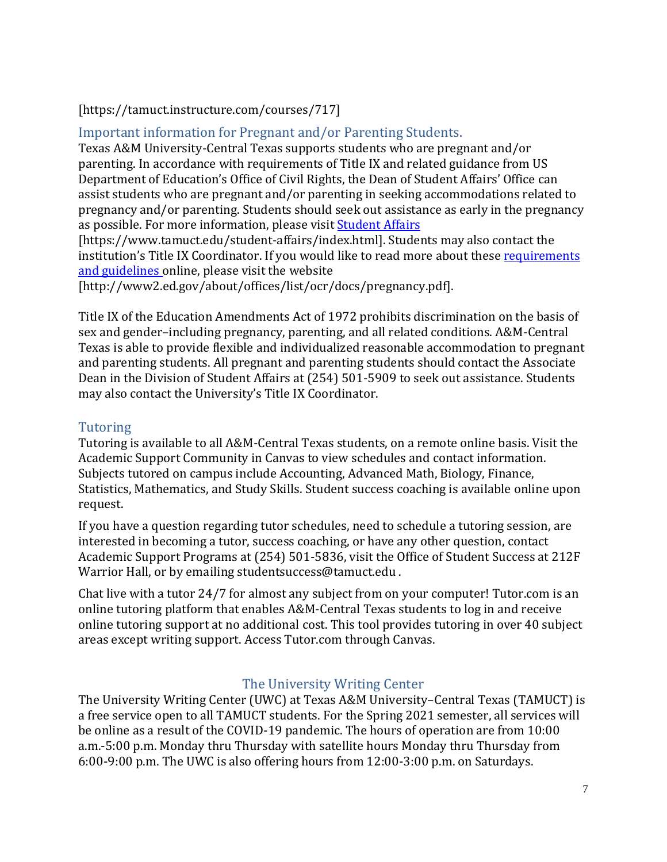# [https://tamuct.instructure.com/courses/717]

Important information for Pregnant and/or Parenting Students.

Texas A&M University-Central Texas supports students who are pregnant and/or parenting. In accordance with requirements of Title IX and related guidance from US Department of Education's Office of Civil Rights, the Dean of Student Affairs' Office can assist students who are pregnant and/or parenting in seeking accommodations related to pregnancy and/or parenting. Students should seek out assistance as early in the pregnancy as possible. For more information, please visi[t Student Affairs](https://www.tamuct.edu/student-affairs/index.html)

[https://www.tamuct.edu/student-affairs/index.html]. Students may also contact the institution's Title IX Coordinator. If you would like to read more about these requirements [and guidelines](http://www2.ed.gov/about/offices/list/ocr/docs/pregnancy.pdf) online, please visit the website

[http://www2.ed.gov/about/offices/list/ocr/docs/pregnancy.pdf].

Title IX of the Education Amendments Act of 1972 prohibits discrimination on the basis of sex and gender–including pregnancy, parenting, and all related conditions. A&M-Central Texas is able to provide flexible and individualized reasonable accommodation to pregnant and parenting students. All pregnant and parenting students should contact the Associate Dean in the Division of Student Affairs at (254) 501-5909 to seek out assistance. Students may also contact the University's Title IX Coordinator.

# Tutoring

Tutoring is available to all A&M-Central Texas students, on a remote online basis. Visit the Academic Support Community in Canvas to view schedules and contact information. Subjects tutored on campus include Accounting, Advanced Math, Biology, Finance, Statistics, Mathematics, and Study Skills. Student success coaching is available online upon request.

If you have a question regarding tutor schedules, need to schedule a tutoring session, are interested in becoming a tutor, success coaching, or have any other question, contact Academic Support Programs at (254) 501-5836, visit the Office of Student Success at 212F Warrior Hall, or by emailing studentsuccess@tamuct.edu .

Chat live with a tutor 24/7 for almost any subject from on your computer! Tutor.com is an online tutoring platform that enables A&M-Central Texas students to log in and receive online tutoring support at no additional cost. This tool provides tutoring in over 40 subject areas except writing support. Access Tutor.com through Canvas.

# The University Writing Center

The University Writing Center (UWC) at Texas A&M University–Central Texas (TAMUCT) is a free service open to all TAMUCT students. For the Spring 2021 semester, all services will be online as a result of the COVID-19 pandemic. The hours of operation are from 10:00 a.m.-5:00 p.m. Monday thru Thursday with satellite hours Monday thru Thursday from 6:00-9:00 p.m. The UWC is also offering hours from 12:00-3:00 p.m. on Saturdays.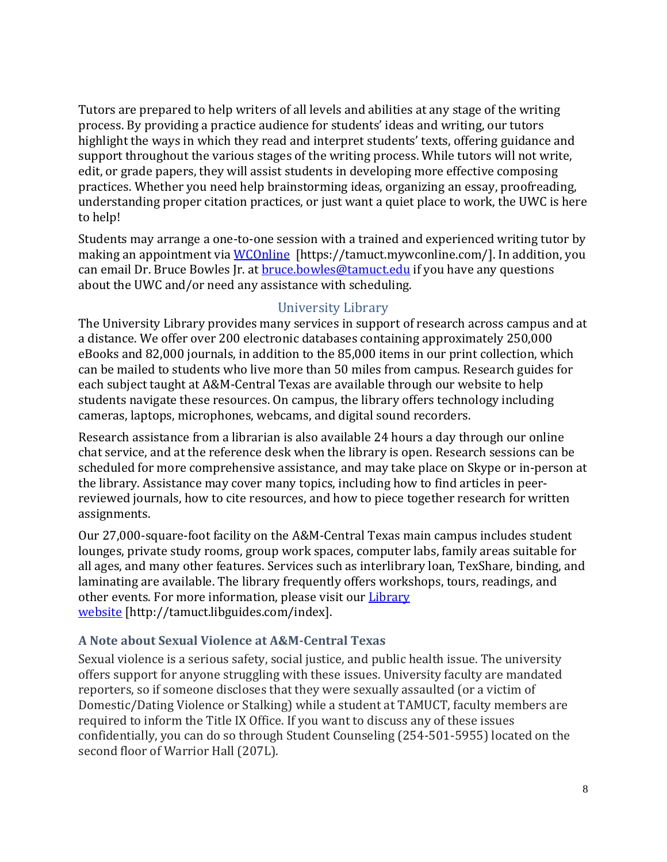Tutors are prepared to help writers of all levels and abilities at any stage of the writing process. By providing a practice audience for students' ideas and writing, our tutors highlight the ways in which they read and interpret students' texts, offering guidance and support throughout the various stages of the writing process. While tutors will not write, edit, or grade papers, they will assist students in developing more effective composing practices. Whether you need help brainstorming ideas, organizing an essay, proofreading, understanding proper citation practices, or just want a quiet place to work, the UWC is here to help!

Students may arrange a one-to-one session with a trained and experienced writing tutor by making an appointment via [WCOnline](https://tamuct.mywconline.com/) [https://tamuct.mywconline.com/]. In addition, you can email Dr. Bruce Bowles Jr. at **bruce** bowles@tamuctedu if you have any questions about the UWC and/or need any assistance with scheduling.

### University Library

The University Library provides many services in support of research across campus and at a distance. We offer over 200 electronic databases containing approximately 250,000 eBooks and 82,000 journals, in addition to the 85,000 items in our print collection, which can be mailed to students who live more than 50 miles from campus. Research guides for each subject taught at A&M-Central Texas are available through our website to help students navigate these resources. On campus, the library offers technology including cameras, laptops, microphones, webcams, and digital sound recorders.

Research assistance from a librarian is also available 24 hours a day through our online chat service, and at the reference desk when the library is open. Research sessions can be scheduled for more comprehensive assistance, and may take place on Skype or in-person at the library. Assistance may cover many topics, including how to find articles in peerreviewed journals, how to cite resources, and how to piece together research for written assignments.

Our 27,000-square-foot facility on the A&M-Central Texas main campus includes student lounges, private study rooms, group work spaces, computer labs, family areas suitable for all ages, and many other features. Services such as interlibrary loan, TexShare, binding, and laminating are available. The library frequently offers workshops, tours, readings, and other events. For more information, please visit our [Library](https://tamuct.libguides.com/index) [website](https://tamuct.libguides.com/index) [http://tamuct.libguides.com/index].

### **A Note about Sexual Violence at A&M-Central Texas**

Sexual violence is a serious safety, social justice, and public health issue. The university offers support for anyone struggling with these issues. University faculty are mandated reporters, so if someone discloses that they were sexually assaulted (or a victim of Domestic/Dating Violence or Stalking) while a student at TAMUCT, faculty members are required to inform the Title IX Office. If you want to discuss any of these issues confidentially, you can do so through Student Counseling (254-501-5955) located on the second floor of Warrior Hall (207L).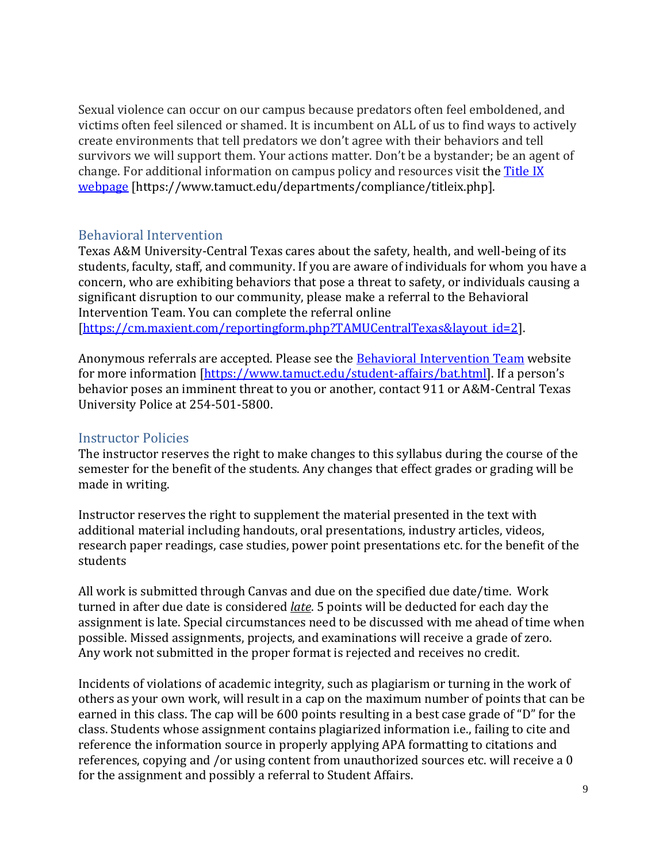Sexual violence can occur on our campus because predators often feel emboldened, and victims often feel silenced or shamed. It is incumbent on ALL of us to find ways to actively create environments that tell predators we don't agree with their behaviors and tell survivors we will support them. Your actions matter. Don't be a bystander; be an agent of change. For additional information on campus policy and resources visit th[e Title IX](https://www.tamuct.edu/departments/compliance/titleix.php)  [webpage](https://www.tamuct.edu/departments/compliance/titleix.php) [https://www.tamuct.edu/departments/compliance/titleix.php].

### Behavioral Intervention

Texas A&M University-Central Texas cares about the safety, health, and well-being of its students, faculty, staff, and community. If you are aware of individuals for whom you have a concern, who are exhibiting behaviors that pose a threat to safety, or individuals causing a significant disruption to our community, please make a referral to the Behavioral Intervention Team. You can complete the [referral](https://cm.maxient.com/reportingform.php?TAMUCentralTexas&layout_id=2) online [\[https://cm.maxient.com/reportingform.php?TAMUCentralTexas&layout\\_id=2\]](https://cm.maxient.com/reportingform.php?TAMUCentralTexas&layout_id=2).

Anonymous referrals are accepted. Please see the [Behavioral Intervention Team](https://www.tamuct.edu/student-affairs/bat.html) website for more information [\[https://www.tamuct.edu/student-affairs/bat.html](https://www.tamuct.edu/student-affairs/bat.html)]. If a person's behavior poses an imminent threat to you or another, contact 911 or A&M-Central Texas University Police at 254-501-5800.

## Instructor Policies

The instructor reserves the right to make changes to this syllabus during the course of the semester for the benefit of the students. Any changes that effect grades or grading will be made in writing.

Instructor reserves the right to supplement the material presented in the text with additional material including handouts, oral presentations, industry articles, videos, research paper readings, case studies, power point presentations etc. for the benefit of the students

All work is submitted through Canvas and due on the specified due date/time. Work turned in after due date is considered *late*. 5 points will be deducted for each day the assignment is late. Special circumstances need to be discussed with me ahead of time when possible. Missed assignments, projects, and examinations will receive a grade of zero. Any work not submitted in the proper format is rejected and receives no credit.

Incidents of violations of academic integrity, such as plagiarism or turning in the work of others as your own work, will result in a cap on the maximum number of points that can be earned in this class. The cap will be 600 points resulting in a best case grade of "D" for the class. Students whose assignment contains plagiarized information i.e., failing to cite and reference the information source in properly applying APA formatting to citations and references, copying and /or using content from unauthorized sources etc. will receive a 0 for the assignment and possibly a referral to Student Affairs.